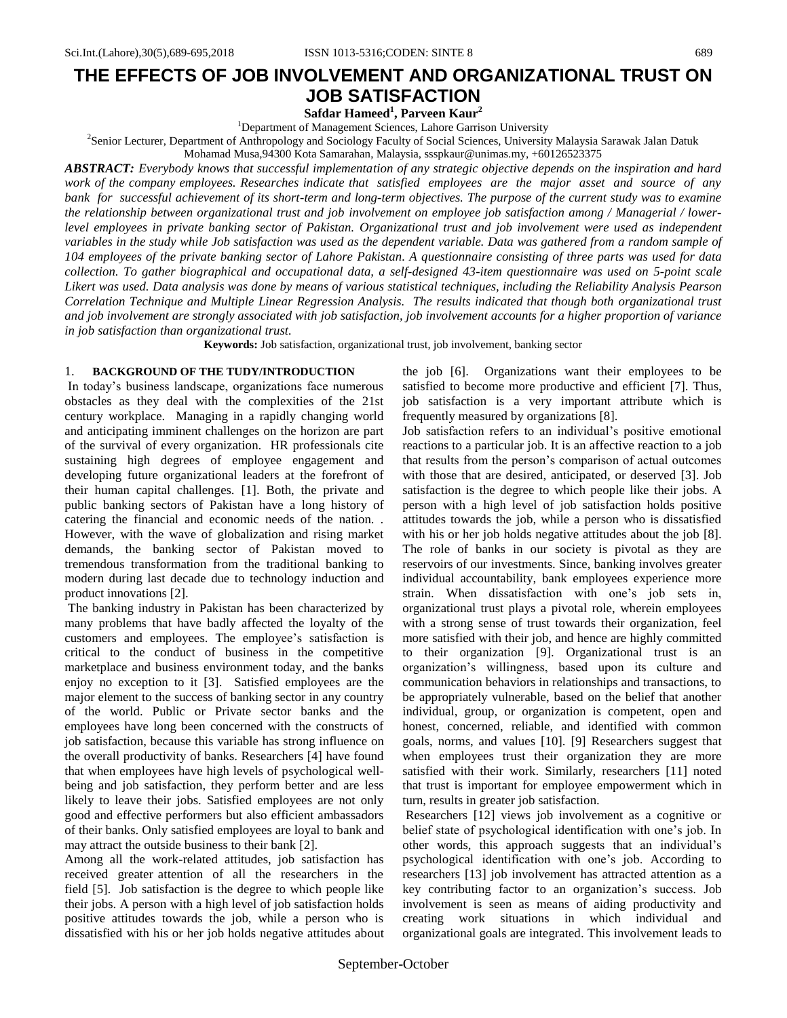# **THE EFFECTS OF JOB INVOLVEMENT AND ORGANIZATIONAL TRUST ON JOB SATISFACTION**

**Safdar Hameed<sup>1</sup> , Parveen Kaur<sup>2</sup>**

<sup>1</sup>Department of Management Sciences, Lahore Garrison University

2 Senior Lecturer, Department of Anthropology and Sociology Faculty of Social Sciences, University Malaysia Sarawak Jalan Datuk

Mohamad Musa,94300 Kota Samarahan, Malaysia, ssspkaur@unimas.my, +60126523375

*ABSTRACT: Everybody knows that successful implementation of any strategic objective depends on the inspiration and hard work of the company employees. Researches indicate that satisfied employees are the major asset and source of any bank for successful achievement of its short-term and long-term objectives. The purpose of the current study was to examine the relationship between organizational trust and job involvement on employee job satisfaction among / Managerial / lowerlevel employees in private banking sector of Pakistan. Organizational trust and job involvement were used as independent variables in the study while Job satisfaction was used as the dependent variable. Data was gathered from a random sample of 104 employees of the private banking sector of Lahore Pakistan. A questionnaire consisting of three parts was used for data collection. To gather biographical and occupational data, a self-designed 43-item questionnaire was used on 5-point scale Likert was used. Data analysis was done by means of various statistical techniques, including the Reliability Analysis Pearson Correlation Technique and Multiple Linear Regression Analysis. The results indicated that though both organizational trust and job involvement are strongly associated with job satisfaction, job involvement accounts for a higher proportion of variance in job satisfaction than organizational trust.* 

**Keywords:** Job satisfaction, organizational trust, job involvement, banking sector

#### 1. **BACKGROUND OF THE TUDY/INTRODUCTION**

In today"s business landscape, organizations face numerous obstacles as they deal with the complexities of the 21st century workplace. Managing in a rapidly changing world and anticipating imminent challenges on the horizon are part of the survival of every organization. HR professionals cite sustaining high degrees of employee engagement and developing future organizational leaders at the forefront of their human capital challenges. [1]. Both, the private and public banking sectors of Pakistan have a long history of catering the financial and economic needs of the nation. . However, with the wave of globalization and rising market demands, the banking sector of Pakistan moved to tremendous transformation from the traditional banking to modern during last decade due to technology induction and product innovations [2].

The banking industry in Pakistan has been characterized by many problems that have badly affected the loyalty of the customers and employees. The employee"s satisfaction is critical to the conduct of business in the competitive marketplace and business environment today, and the banks enjoy no exception to it [3]. Satisfied employees are the major element to the success of banking sector in any country of the world. Public or Private sector banks and the employees have long been concerned with the constructs of job satisfaction, because this variable has strong influence on the overall productivity of banks. Researchers [4] have found that when employees have high levels of psychological wellbeing and job satisfaction, they perform better and are less likely to leave their jobs. Satisfied employees are not only good and effective performers but also efficient ambassadors of their banks. Only satisfied employees are loyal to bank and may attract the outside business to their bank [2].

Among all the work-related attitudes, job satisfaction has received greater attention of all the researchers in the field [5]. Job satisfaction is the degree to which people like their jobs. A person with a high level of job satisfaction holds positive attitudes towards the job, while a person who is dissatisfied with his or her job holds negative attitudes about the job [6]. Organizations want their employees to be satisfied to become more productive and efficient [7]. Thus, job satisfaction is a very important attribute which is frequently measured by organizations [8].

Job satisfaction refers to an individual"s positive emotional reactions to a particular job. It is an affective reaction to a job that results from the person"s comparison of actual outcomes with those that are desired, anticipated, or deserved [3]. Job satisfaction is the degree to which people like their jobs. A person with a high level of job satisfaction holds positive attitudes towards the job, while a person who is dissatisfied with his or her job holds negative attitudes about the job [8]. The role of banks in our society is pivotal as they are reservoirs of our investments. Since, banking involves greater individual accountability, bank employees experience more strain. When dissatisfaction with one"s job sets in, organizational trust plays a pivotal role, wherein employees with a strong sense of trust towards their organization, feel more satisfied with their job, and hence are highly committed to their organization [9]. Organizational trust is an organization"s willingness, based upon its culture and communication behaviors in relationships and transactions, to be appropriately vulnerable, based on the belief that another individual, group, or organization is competent, open and honest, concerned, reliable, and identified with common goals, norms, and values [10]. [9] Researchers suggest that when employees trust their organization they are more satisfied with their work. Similarly, researchers [11] noted that trust is important for employee empowerment which in turn, results in greater job satisfaction.

Researchers [12] views job involvement as a cognitive or belief state of psychological identification with one"s job. In other words, this approach suggests that an individual"s psychological identification with one"s job. According to researchers [13] job involvement has attracted attention as a key contributing factor to an organization"s success. Job involvement is seen as means of aiding productivity and creating work situations in which individual and organizational goals are integrated. This involvement leads to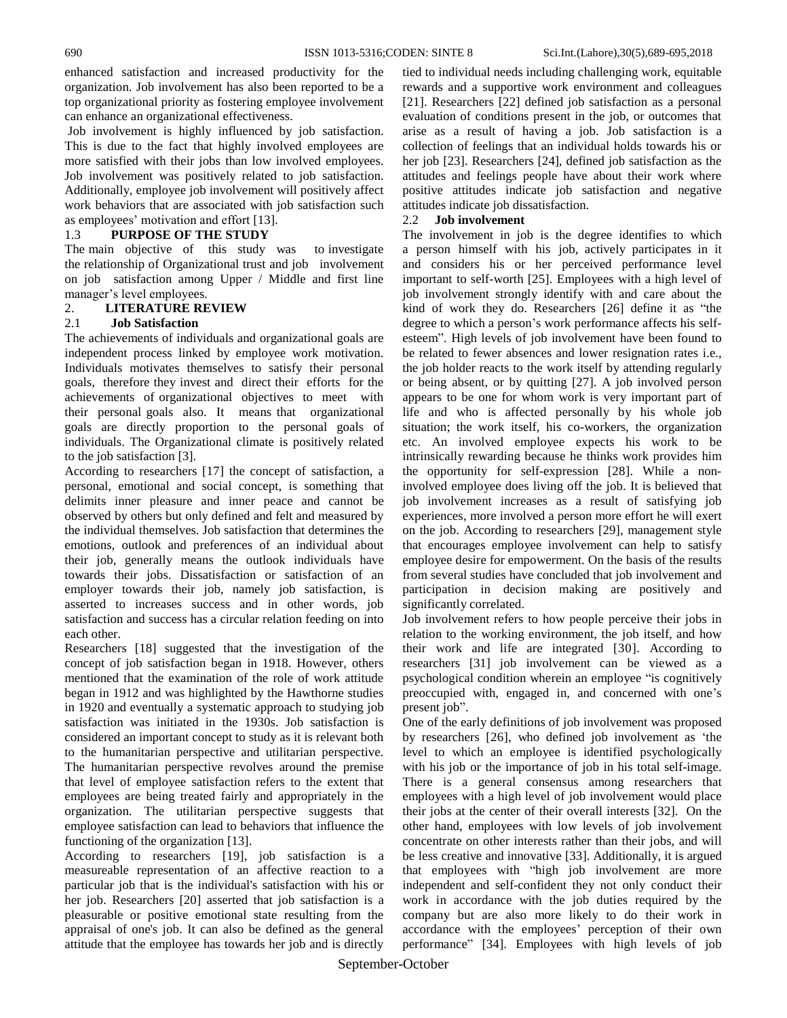enhanced satisfaction and increased productivity for the organization. Job involvement has also been reported to be a top organizational priority as fostering employee involvement can enhance an organizational effectiveness.

Job involvement is highly influenced by job satisfaction. This is due to the fact that highly involved employees are more satisfied with their jobs than low involved employees. Job involvement was positively related to job satisfaction. Additionally, employee job involvement will positively affect work behaviors that are associated with job satisfaction such as employees' motivation and effort [13].

# 1.3 **PURPOSE OF THE STUDY**

The main objective of this study was to investigate the relationship of Organizational trust and job involvement on job satisfaction among Upper / Middle and first line manager's level employees.

## 2. **LITERATURE REVIEW**

## 2.1 **Job Satisfaction**

The achievements of individuals and organizational goals are independent process linked by employee work motivation. Individuals motivates themselves to satisfy their personal goals, therefore they invest and direct their efforts for the achievements of organizational objectives to meet with their personal goals also. It means that organizational goals are directly proportion to the personal goals of individuals. The Organizational climate is positively related to the job satisfaction [3].

According to researchers [17] the concept of satisfaction, a personal, emotional and social concept, is something that delimits inner pleasure and inner peace and cannot be observed by others but only defined and felt and measured by the individual themselves. Job satisfaction that determines the emotions, outlook and preferences of an individual about their job, generally means the outlook individuals have towards their jobs. Dissatisfaction or satisfaction of an employer towards their job, namely job satisfaction, is asserted to increases success and in other words, job satisfaction and success has a circular relation feeding on into each other.

Researchers [18] suggested that the investigation of the concept of job satisfaction began in 1918. However, others mentioned that the examination of the role of work attitude began in 1912 and was highlighted by the Hawthorne studies in 1920 and eventually a systematic approach to studying job satisfaction was initiated in the 1930s. Job satisfaction is considered an important concept to study as it is relevant both to the humanitarian perspective and utilitarian perspective. The humanitarian perspective revolves around the premise that level of employee satisfaction refers to the extent that employees are being treated fairly and appropriately in the organization. The utilitarian perspective suggests that employee satisfaction can lead to behaviors that influence the functioning of the organization [13].

According to researchers [19], job satisfaction is a measureable representation of an affective reaction to a particular job that is the individual's satisfaction with his or her job. Researchers [20] asserted that job satisfaction is a pleasurable or positive emotional state resulting from the appraisal of one's job. It can also be defined as the general attitude that the employee has towards her job and is directly

tied to individual needs including challenging work, equitable rewards and a supportive work environment and colleagues [21]. Researchers [22] defined job satisfaction as a personal evaluation of conditions present in the job, or outcomes that arise as a result of having a job. Job satisfaction is a collection of feelings that an individual holds towards his or her job [23]. Researchers [24], defined job satisfaction as the attitudes and feelings people have about their work where positive attitudes indicate job satisfaction and negative attitudes indicate job dissatisfaction.

## 2.2 **Job involvement**

The involvement in job is the degree identifies to which a person himself with his job, actively participates in it and considers his or her perceived performance level important to self-worth [25]. Employees with a high level of job involvement strongly identify with and care about the kind of work they do. Researchers [26] define it as "the degree to which a person"s work performance affects his selfesteem". High levels of job involvement have been found to be related to fewer absences and lower resignation rates i.e., the job holder reacts to the work itself by attending regularly or being absent, or by quitting [27]. A job involved person appears to be one for whom work is very important part of life and who is affected personally by his whole job situation; the work itself, his co-workers, the organization etc. An involved employee expects his work to be intrinsically rewarding because he thinks work provides him the opportunity for self-expression [28]. While a noninvolved employee does living off the job. It is believed that job involvement increases as a result of satisfying job experiences, more involved a person more effort he will exert on the job. According to researchers [29], management style that encourages employee involvement can help to satisfy employee desire for empowerment. On the basis of the results from several studies have concluded that job involvement and participation in decision making are positively and significantly correlated.

Job involvement refers to how people perceive their jobs in relation to the working environment, the job itself, and how their work and life are integrated [30]. According to researchers [31] job involvement can be viewed as a psychological condition wherein an employee "is cognitively preoccupied with, engaged in, and concerned with one"s present job".

One of the early definitions of job involvement was proposed by researchers [26], who defined job involvement as "the level to which an employee is identified psychologically with his job or the importance of job in his total self-image. There is a general consensus among researchers that employees with a high level of job involvement would place their jobs at the center of their overall interests [32]. On the other hand, employees with low levels of job involvement concentrate on other interests rather than their jobs, and will be less creative and innovative [33]. Additionally, it is argued that employees with "high job involvement are more independent and self-confident they not only conduct their work in accordance with the job duties required by the company but are also more likely to do their work in accordance with the employees' perception of their own performance" [34]. Employees with high levels of job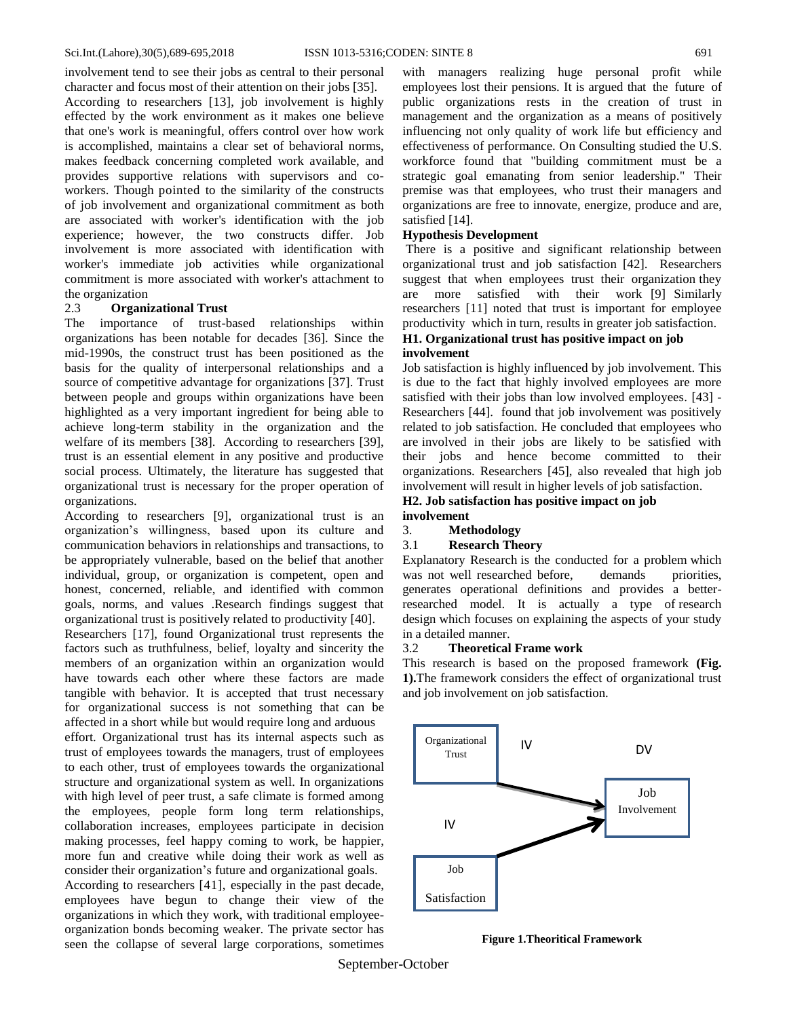involvement tend to see their jobs as central to their personal character and focus most of their attention on their jobs [35].

According to researchers [13], job involvement is highly effected by the work environment as it makes one believe that one's work is meaningful, offers control over how work is accomplished, maintains a clear set of behavioral norms, makes feedback concerning completed work available, and provides supportive relations with supervisors and coworkers. Though pointed to the similarity of the constructs of job involvement and organizational commitment as both are associated with worker's identification with the job experience; however, the two constructs differ. Job involvement is more associated with identification with worker's immediate job activities while organizational commitment is more associated with worker's attachment to the organization

#### 2.3 **Organizational Trust**

The importance of trust-based relationships within organizations has been notable for decades [36]. Since the mid-1990s, the construct trust has been positioned as the basis for the quality of interpersonal relationships and a source of competitive advantage for organizations [37]. Trust between people and groups within organizations have been highlighted as a very important ingredient for being able to achieve long-term stability in the organization and the welfare of its members [38]. According to researchers [39], trust is an essential element in any positive and productive social process. Ultimately, the literature has suggested that organizational trust is necessary for the proper operation of organizations.

According to researchers [9], organizational trust is an organization"s willingness, based upon its culture and communication behaviors in relationships and transactions, to be appropriately vulnerable, based on the belief that another individual, group, or organization is competent, open and honest, concerned, reliable, and identified with common goals, norms, and values .Research findings suggest that organizational trust is positively related to productivity [40].

Researchers [17], found Organizational trust represents the factors such as truthfulness, belief, loyalty and sincerity the members of an organization within an organization would have towards each other where these factors are made tangible with behavior. It is accepted that trust necessary for organizational success is not something that can be affected in a short while but would require long and arduous

effort. Organizational trust has its internal aspects such as trust of employees towards the managers, trust of employees to each other, trust of employees towards the organizational structure and organizational system as well. In organizations with high level of peer trust, a safe climate is formed among the employees, people form long term relationships, collaboration increases, employees participate in decision making processes, feel happy coming to work, be happier, more fun and creative while doing their work as well as consider their organization"s future and organizational goals. According to researchers [41], especially in the past decade, employees have begun to change their view of the organizations in which they work, with traditional employeeorganization bonds becoming weaker. The private sector has

seen the collapse of several large corporations, sometimes

with managers realizing huge personal profit while employees lost their pensions. It is argued that the future of public organizations rests in the creation of trust in management and the organization as a means of positively influencing not only quality of work life but efficiency and effectiveness of performance. On Consulting studied the U.S. workforce found that "building commitment must be a strategic goal emanating from senior leadership." Their premise was that employees, who trust their managers and organizations are free to innovate, energize, produce and are, satisfied [14].

#### **Hypothesis Development**

There is a positive and significant relationship between organizational trust and job satisfaction [42]. Researchers suggest that when employees trust their organization they are more satisfied with their work [9] Similarly researchers [11] noted that trust is important for employee productivity which in turn, results in greater job satisfaction.

## **H1. Organizational trust has positive impact on job involvement**

Job satisfaction is highly influenced by job involvement. This is due to the fact that highly involved employees are more satisfied with their jobs than low involved employees. [43] - Researchers [44]. found that job involvement was positively related to job satisfaction. He concluded that employees who are involved in their jobs are likely to be satisfied with their jobs and hence become committed to their organizations. Researchers [45], also revealed that high job involvement will result in higher levels of job satisfaction.

#### **H2. Job satisfaction has positive impact on job involvement**

#### 3. **Methodology**

#### 3.1 **Research Theory**

Explanatory Research is the conducted for a problem which was not well researched before, demands priorities, generates operational definitions and provides a betterresearched model. It is actually a type of [research](https://scholarshipfellow.com/research-design-types-research-design/)  [design](https://scholarshipfellow.com/research-design-types-research-design/) which focuses on explaining the aspects of your study in a detailed manner.

#### 3.2 **Theoretical Frame work**

This research is based on the proposed framework **(Fig. 1).**The framework considers the effect of organizational trust and job involvement on job satisfaction.



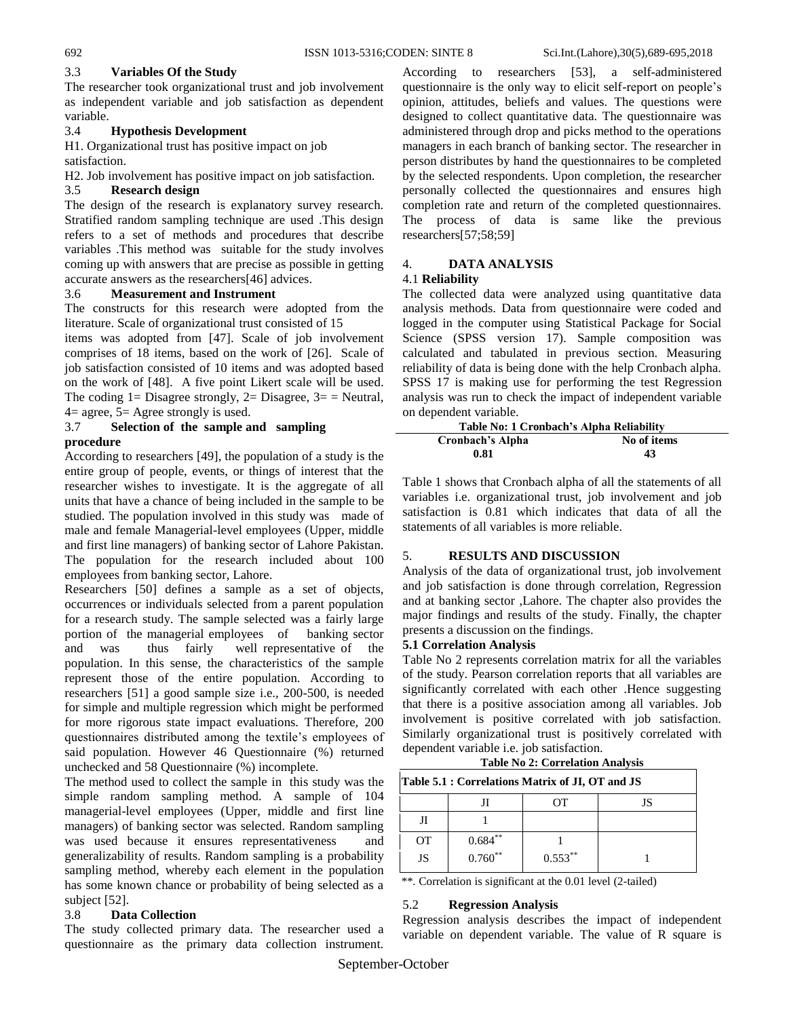## 3.3 **Variables Of the Study**

The researcher took organizational trust and job involvement as independent variable and job satisfaction as dependent variable.

## 3.4 **Hypothesis Development**

H1. Organizational trust has positive impact on job satisfaction.

H2. Job involvement has positive impact on job satisfaction.

## 3.5 **Research design**

The design of the research is explanatory survey research. Stratified random sampling technique are used .This design refers to a set of methods and procedures that describe variables .This method was suitable for the study involves coming up with answers that are precise as possible in getting accurate answers as the researchers[46] advices.

## 3.6 **Measurement and Instrument**

The constructs for this research were adopted from the literature. Scale of organizational trust consisted of 15

items was adopted from [47]. Scale of job involvement comprises of 18 items, based on the work of [26]. Scale of job satisfaction consisted of 10 items and was adopted based on the work of [48]. A five point Likert scale will be used. The coding  $1=$  Disagree strongly,  $2=$  Disagree,  $3=$  = Neutral,  $4=$  agree,  $5=$  Agree strongly is used.

#### 3.7 **Selection of the sample and sampling procedure**

According to researchers [49], the population of a study is the entire group of people, events, or things of interest that the researcher wishes to investigate. It is the aggregate of all units that have a chance of being included in the sample to be studied. The population involved in this study was made of male and female Managerial-level employees (Upper, middle and first line managers) of banking sector of Lahore Pakistan. The population for the research included about 100 employees from banking sector, Lahore.

Researchers [50] defines a sample as a set of objects, occurrences or individuals selected from a parent population for a research study. The sample selected was a fairly large portion of the managerial employees of banking sector and was thus fairly well representative of the population. In this sense, the characteristics of the sample represent those of the entire population. According to researchers [51] a good sample size i.e., 200-500, is needed for simple and multiple regression which might be performed for more rigorous state impact evaluations. Therefore, 200 questionnaires distributed among the textile"s employees of said population. However 46 Questionnaire (%) returned unchecked and 58 Questionnaire (%) incomplete.

The method used to collect the sample in this study was the simple random sampling method. A sample of 104 managerial-level employees (Upper, middle and first line managers) of banking sector was selected. Random sampling was used because it ensures representativeness and generalizability of results. Random sampling is a probability sampling method, whereby each element in the population has some known chance or probability of being selected as a subject [52].

# 3.8 **Data Collection**

The study collected primary data. The researcher used a questionnaire as the primary data collection instrument.

According to researchers [53], a self-administered questionnaire is the only way to elicit self-report on people"s opinion, attitudes, beliefs and values. The questions were designed to collect quantitative data. The questionnaire was administered through drop and picks method to the operations managers in each branch of banking sector. The researcher in person distributes by hand the questionnaires to be completed by the selected respondents. Upon completion, the researcher personally collected the questionnaires and ensures high completion rate and return of the completed questionnaires. The process of data is same like the previous researchers[57;58;59]

# 4. **DATA ANALYSIS**

## 4.1 **Reliability**

The collected data were analyzed using quantitative data analysis methods. Data from questionnaire were coded and logged in the computer using Statistical Package for Social Science (SPSS version 17). Sample composition was calculated and tabulated in previous section. Measuring reliability of data is being done with the help Cronbach alpha. SPSS 17 is making use for performing the test Regression analysis was run to check the impact of independent variable on dependent variable.

| Table No: 1 Cronbach's Alpha Reliability |             |  |  |
|------------------------------------------|-------------|--|--|
| Cronbach's Alpha                         | No of items |  |  |
| 0.81                                     | 43          |  |  |

Table 1 shows that Cronbach alpha of all the statements of all variables i.e. organizational trust, job involvement and job satisfaction is 0.81 which indicates that data of all the statements of all variables is more reliable.

## 5. **RESULTS AND DISCUSSION**

Analysis of the data of organizational trust, job involvement and job satisfaction is done through correlation, Regression and at banking sector ,Lahore. The chapter also provides the major findings and results of the study. Finally, the chapter presents a discussion on the findings.

## **5.1 Correlation Analysis**

Table No 2 represents correlation matrix for all the variables of the study. Pearson correlation reports that all variables are significantly correlated with each other .Hence suggesting that there is a positive association among all variables. Job involvement is positive correlated with job satisfaction. Similarly organizational trust is positively correlated with dependent variable i.e. job satisfaction.

## **Table No 2: Correlation Analysis**

## **Table 5.1 : Correlations Matrix of JI, OT and JS**

|    |            | OT         | JS |
|----|------------|------------|----|
|    |            |            |    |
| OТ | $0.684***$ |            |    |
| JS | $0.760**$  | $0.553***$ |    |

\*\*. Correlation is significant at the 0.01 level (2-tailed)

## 5.2 **Regression Analysis**

Regression analysis describes the impact of independent variable on dependent variable. The value of R square is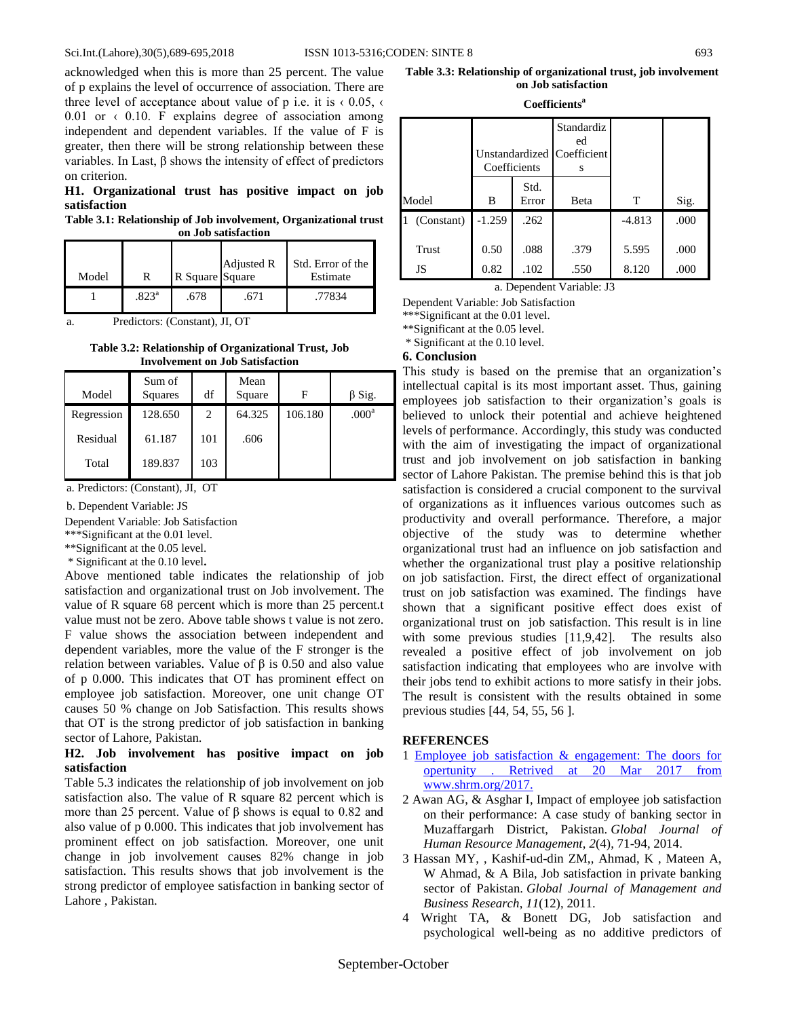#### Sci.Int.(Lahore),30(5),689-695,2018 ISSN 1013-5316;CODEN: SINTE 8 693

acknowledged when this is more than 25 percent. The value of p explains the level of occurrence of association. There are three level of acceptance about value of p i.e. it is  $\left(0.05\right)$ ,  $\left($ 0.01 or  $\leftarrow$  0.10. F explains degree of association among independent and dependent variables. If the value of F is greater, then there will be strong relationship between these variables. In Last, β shows the intensity of effect of predictors on criterion.

#### **H1. Organizational trust has positive impact on job satisfaction**

**Table 3.1: Relationship of Job involvement, Organizational trust on Job satisfaction**

| Model |                   | R Square Square | Adjusted R | Std. Error of the<br>Estimate |
|-------|-------------------|-----------------|------------|-------------------------------|
|       | .823 <sup>a</sup> | .678            | .671       | .77834                        |

a. Predictors: (Constant), JI, OT

**Table 3.2: Relationship of Organizational Trust, Job Involvement on Job Satisfaction**

| Model      | Sum of<br>Squares | df  | Mean<br>Square | F       | $\beta$ Sig.      |
|------------|-------------------|-----|----------------|---------|-------------------|
| Regression | 128.650           | 2   | 64.325         | 106.180 | .000 <sup>a</sup> |
| Residual   | 61.187            | 101 | .606           |         |                   |
| Total      | 189.837           | 103 |                |         |                   |

a. Predictors: (Constant), JI, OT

b. Dependent Variable: JS

Dependent Variable: Job Satisfaction

\*\*\*Significant at the 0.01 level.

\*\*Significant at the 0.05 level.

\* Significant at the 0.10 level**.**

Above mentioned table indicates the relationship of job satisfaction and organizational trust on Job involvement. The value of R square 68 percent which is more than 25 percent.t value must not be zero. Above table shows t value is not zero. F value shows the association between independent and dependent variables, more the value of the F stronger is the relation between variables. Value of  $β$  is 0.50 and also value of p 0.000. This indicates that OT has prominent effect on employee job satisfaction. Moreover, one unit change OT causes 50 % change on Job Satisfaction. This results shows that OT is the strong predictor of job satisfaction in banking sector of Lahore, Pakistan.

# **H2. Job involvement has positive impact on job satisfaction**

Table 5.3 indicates the relationship of job involvement on job satisfaction also. The value of R square 82 percent which is more than 25 percent. Value of  $β$  shows is equal to 0.82 and also value of p 0.000. This indicates that job involvement has prominent effect on job satisfaction. Moreover, one unit change in job involvement causes 82% change in job satisfaction. This results shows that job involvement is the strong predictor of employee satisfaction in banking sector of Lahore , Pakistan.

| Table 3.3: Relationship of organizational trust, job involvement |  |
|------------------------------------------------------------------|--|
| on Job satisfaction                                              |  |

**Coefficients<sup>a</sup>**

|            | Unstandardized Coefficient<br>Coefficients |               | Standardiz<br>ed<br>s |          |      |
|------------|--------------------------------------------|---------------|-----------------------|----------|------|
| Model      | B                                          | Std.<br>Error | Beta                  | T        | Sig. |
| (Constant) | $-1.259$                                   | .262          |                       | $-4.813$ | .000 |
| Trust      | 0.50                                       | .088          | .379                  | 5.595    | .000 |
| JS         | 0.82                                       | .102          | .550                  | 8.120    | .000 |

a. Dependent Variable: J3

Dependent Variable: Job Satisfaction

\*\*\*Significant at the 0.01 level.

\*\*Significant at the 0.05 level.

\* Significant at the 0.10 level.

#### **6. Conclusion**

This study is based on the premise that an organization"s intellectual capital is its most important asset. Thus, gaining employees job satisfaction to their organization's goals is believed to unlock their potential and achieve heightened levels of performance. Accordingly, this study was conducted with the aim of investigating the impact of organizational trust and job involvement on job satisfaction in banking sector of Lahore Pakistan. The premise behind this is that job satisfaction is considered a crucial component to the survival of organizations as it influences various outcomes such as productivity and overall performance. Therefore, a major objective of the study was to determine whether organizational trust had an influence on job satisfaction and whether the organizational trust play a positive relationship on job satisfaction. First, the direct effect of organizational trust on job satisfaction was examined. The findings have shown that a significant positive effect does exist of organizational trust on job satisfaction. This result is in line with some previous studies [11,9,42]. The results also revealed a positive effect of job involvement on job satisfaction indicating that employees who are involve with their jobs tend to exhibit actions to more satisfy in their jobs. The result is consistent with the results obtained in some previous studies [44, 54, 55, 56 ].

#### **REFERENCES**

- 1 Employee job satisfaction & engagement: The doors for opertunity . Retrived at 20 Mar 2017 from www.shrm.org/2017.
- 2 Awan AG, & Asghar I, Impact of employee job satisfaction on their performance: A case study of banking sector in Muzaffargarh District, Pakistan. *Global Journal of Human Resource Management*, *2*(4), 71-94, 2014.
- 3 Hassan MY, , Kashif-ud-din ZM,, Ahmad, K , Mateen A, W Ahmad, & A Bila, Job satisfaction in private banking sector of Pakistan. *Global Journal of Management and Business Research*, *11*(12), 2011.
- 4 Wright TA, & Bonett DG, Job satisfaction and psychological well-being as no additive predictors of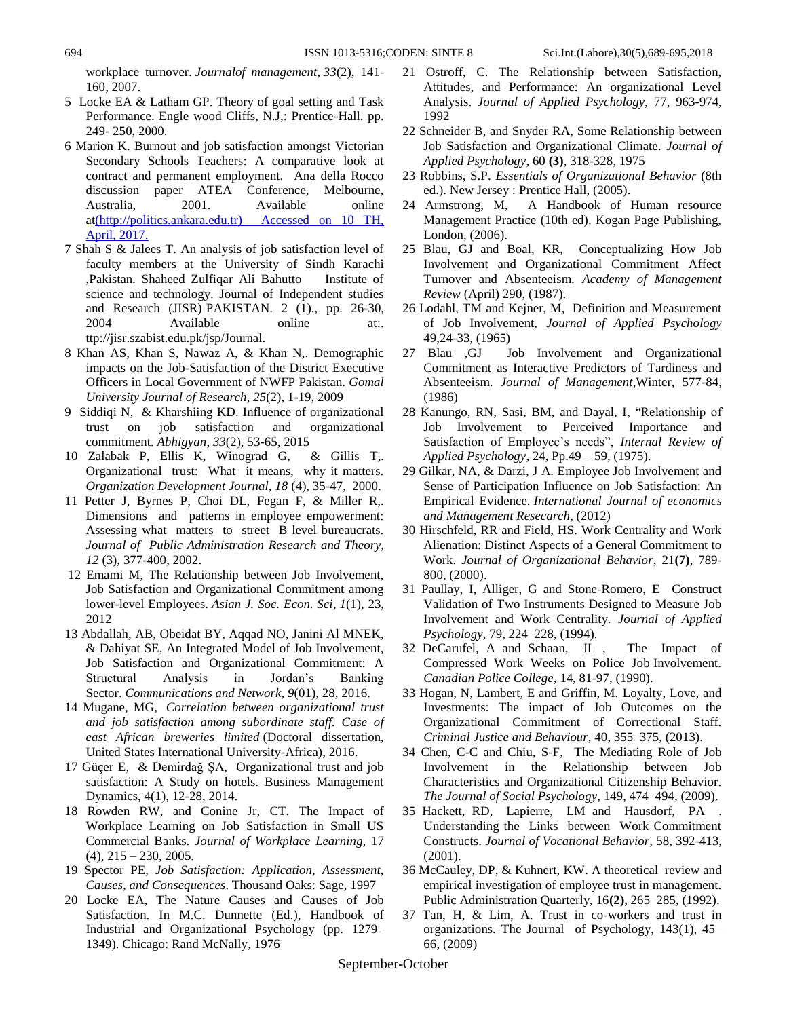workplace turnover. *Journalof management*, *33*(2), 141- 160, 2007.

- 5 Locke EA & Latham GP. Theory of goal setting and Task Performance. Engle wood Cliffs, N.J,: Prentice-Hall. pp. 249- 250, 2000.
- 6 Marion K. Burnout and job satisfaction amongst Victorian Secondary Schools Teachers: A comparative look at contract and permanent employment. Ana della Rocco discussion paper ATEA Conference, Melbourne, Australia, 2001. Available online a[t\(http://politics.ankara.edu.tr\) Accessed on 10 TH,](file:///C:/Users/admin/Downloads/(http:/politics.ankara.edu.tr)%20%20Accessed%20on%2010%20TH,%20April,%202017)  [April, 2017.](file:///C:/Users/admin/Downloads/(http:/politics.ankara.edu.tr)%20%20Accessed%20on%2010%20TH,%20April,%202017)
- 7 Shah S & Jalees T. An analysis of job satisfaction level of faculty members at the University of Sindh Karachi ,Pakistan. Shaheed Zulfiqar Ali Bahutto Institute of science and technology. Journal of Independent studies and Research (JISR) PAKISTAN. 2 (1)., pp. 26-30, 2004 Available online at:[.](http://jisr.szabist.edu.pk/jsp/Journal) [ttp://jisr.szabist.edu.pk/jsp/Journal.](http://jisr.szabist.edu.pk/jsp/Journal)
- 8 Khan AS, Khan S, Nawaz A, & Khan N,. Demographic impacts on the Job-Satisfaction of the District Executive Officers in Local Government of NWFP Pakistan. *Gomal University Journal of Research*, *25*(2), 1-19, 2009
- 9 Siddiqi N, & Kharshiing KD. Influence of organizational trust on job satisfaction and organizational commitment. *Abhigyan*, *33*(2), 53-65, 2015
- 10 Zalabak P, Ellis K, Winograd G, & Gillis T,. Organizational trust: What it means, why it matters. *Organization Development Journal, 18* (4), 35-47, 2000.
- 11 Petter J, Byrnes P, Choi DL, Fegan F, & Miller R,. Dimensions and patterns in employee empowerment: Assessing what matters to street B level bureaucrats. *Journal of Public Administration Research and Theory, 12* (3), 377-400, 2002.
- 12 Emami M, The Relationship between Job Involvement, Job Satisfaction and Organizational Commitment among lower-level Employees. *Asian J. Soc. Econ. Sci*, *1*(1), 23, 2012
- 13 Abdallah, AB, Obeidat BY, Aqqad NO, Janini Al MNEK, & Dahiyat SE, An Integrated Model of Job Involvement, Job Satisfaction and Organizational Commitment: A Structural Analysis in Jordan"s Banking Sector. *Communications and Network*, *9*(01), 28, 2016.
- 14 Mugane, MG, *Correlation between organizational trust and job satisfaction among subordinate staff. Case of east African breweries limited* (Doctoral dissertation, United States International University-Africa), 2016.
- 17 Güçer E, & Demirdağ ŞA, Organizational trust and job satisfaction: A Study on hotels. Business Management Dynamics, 4(1), 12-28, 2014.
- 18 Rowden RW, and Conine Jr, CT. The Impact of Workplace Learning on Job Satisfaction in Small US Commercial Banks. *Journal of Workplace Learning*, 17  $(4)$ ,  $215 - 230$ ,  $2005$ .
- 19 Spector PE, *Job Satisfaction: Application, Assessment, Causes, and Consequences*. Thousand Oaks: Sage, 1997
- 20 Locke EA, The Nature Causes and Causes of Job Satisfaction. In M.C. Dunnette (Ed.), Handbook of Industrial and Organizational Psychology (pp. 1279– 1349). Chicago: Rand McNally, 1976
- 21 Ostroff, C. The Relationship between Satisfaction, Attitudes, and Performance: An organizational Level Analysis. *Journal of Applied Psychology*, 77, 963-974, 1992
- 22 Schneider B, and Snyder RA, Some Relationship between Job Satisfaction and Organizational Climate. *Journal of Applied Psychology*, 60 **(3)**, 318-328, 1975
- 23 Robbins, S.P. *Essentials of Organizational Behavior* (8th ed.). New Jersey : Prentice Hall, (2005).
- 24 Armstrong, M, A Handbook of Human resource Management Practice (10th ed). Kogan Page Publishing, London, (2006).
- 25 Blau, GJ and Boal, KR, Conceptualizing How Job Involvement and Organizational Commitment Affect Turnover and Absenteeism. *Academy of Management Review* (April) 290, (1987).
- 26 Lodahl, TM and Kejner, M, Definition and Measurement of Job Involvement, *Journal of Applied Psychology* 49,24-33, (1965)
- 27 Blau ,GJ Job Involvement and Organizational Commitment as Interactive Predictors of Tardiness and Absenteeism. *Journal of Management*,Winter, 577-84, (1986)
- 28 Kanungo, RN, Sasi, BM, and Dayal, I, "Relationship of Job Involvement to Perceived Importance and Satisfaction of Employee's needs", *Internal Review of Applied Psychology*, 24, Pp.49 – 59, (1975).
- 29 Gilkar, NA, & Darzi, J A. Employee Job Involvement and Sense of Participation Influence on Job Satisfaction: An Empirical Evidence. *International Journal of economics and Management Resecarch,* (2012)
- 30 Hirschfeld, RR and Field, HS. Work Centrality and Work Alienation: Distinct Aspects of a General Commitment to Work. *Journal of Organizational Behavior*, 21**(7)**, 789- 800, (2000).
- 31 Paullay, I, Alliger, G and Stone-Romero, E Construct Validation of Two Instruments Designed to Measure Job Involvement and Work Centrality. *Journal of Applied Psychology*, 79, 224–228, (1994).
- 32 DeCarufel, A and Schaan, JL , The Impact of Compressed Work Weeks on Police Job Involvement. *Canadian Police College*, 14, 81-97, (1990).
- 33 Hogan, N, Lambert, E and Griffin, M. Loyalty, Love, and Investments: The impact of Job Outcomes on the Organizational Commitment of Correctional Staff. *Criminal Justice and Behaviour*, 40, 355–375, (2013).
- 34 Chen, C-C and Chiu, S-F, The Mediating Role of Job Involvement in the Relationship between Job Characteristics and Organizational Citizenship Behavior. *The Journal of Social Psychology*, 149, 474–494, (2009).
- 35 Hackett, RD, Lapierre, LM and Hausdorf, PA . Understanding the Links between Work Commitment Constructs. *Journal of Vocational Behavior*, 58, 392-413, (2001).
- 36 McCauley, DP, & Kuhnert, KW. A theoretical review and empirical investigation of employee trust in management. Public Administration Quarterly, 16**(2)**, 265–285, (1992).
- 37 Tan, H, & Lim, A. Trust in co-workers and trust in organizations. The Journal of Psychology, 143(1), 45– 66, (2009)

September-October